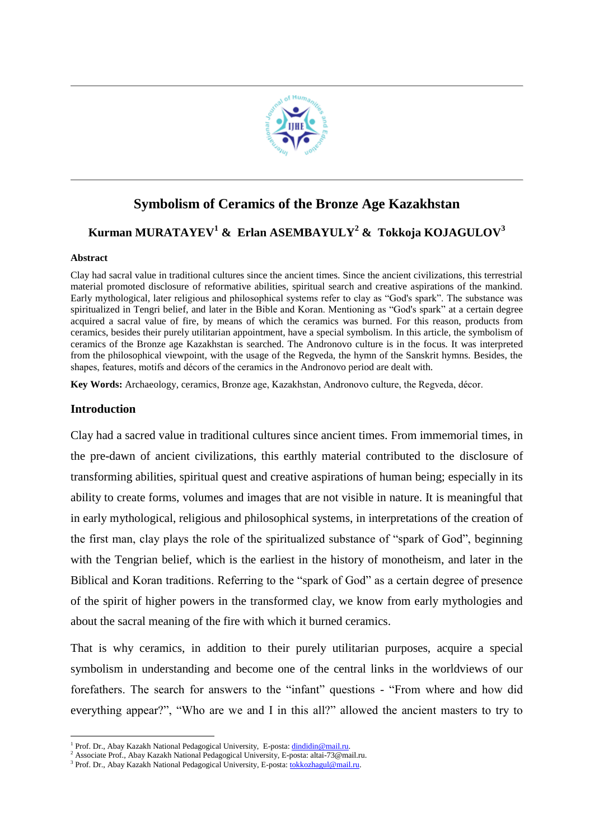

## **Symbolism of Ceramics of the Bronze Age Kazakhstan**

# **Kurman MURATAYEV<sup>1</sup> & Erlan ASEMBAYULY<sup>2</sup> & Tokkoja KOJAGULOV<sup>3</sup>**

#### **Abstract**

Clay had sacral value in traditional cultures since the ancient times. Since the ancient civilizations, this terrestrial material promoted disclosure of reformative abilities, spiritual search and creative aspirations of the mankind. Early mythological, later religious and philosophical systems refer to clay as "God's spark". The substance was spiritualized in Tengri belief, and later in the Bible and Koran. Mentioning as "God's spark" at a certain degree acquired a sacral value of fire, by means of which the ceramics was burned. For this reason, products from ceramics, besides their purely utilitarian appointment, have a special symbolism. In this article, the symbolism of ceramics of the Bronze age Kazakhstan is searched. The Andronovo culture is in the focus. It was interpreted from the philosophical viewpoint, with the usage of the Regveda, the hymn of the Sanskrit hymns. Besides, the shapes, features, motifs and décors of the ceramics in the Andronovo period are dealt with.

**Key Words:** Archaeology, ceramics, Bronze age, Kazakhstan, Andronovo culture, the Regveda, décor.

## **Introduction**

1

Clay had a sacred value in traditional cultures since ancient times. From immemorial times, in the pre-dawn of ancient civilizations, this earthly material contributed to the disclosure of transforming abilities, spiritual quest and creative aspirations of human being; especially in its ability to create forms, volumes and images that are not visible in nature. It is meaningful that in early mythological, religious and philosophical systems, in interpretations of the creation of the first man, clay plays the role of the spiritualized substance of "spark of God", beginning with the Tengrian belief, which is the earliest in the history of monotheism, and later in the Biblical and Koran traditions. Referring to the "spark of God" as a certain degree of presence of the spirit of higher powers in the transformed clay, we know from early mythologies and about the sacral meaning of the fire with which it burned ceramics.

That is why ceramics, in addition to their purely utilitarian purposes, acquire a special symbolism in understanding and become one of the central links in the worldviews of our forefathers. The search for answers to the "infant" questions - "From where and how did everything appear?", "Who are we and I in this all?" allowed the ancient masters to try to

<sup>&</sup>lt;sup>1</sup> Prof. Dr., Abay Kazakh National Pedagogical University, E-posta: *dindidin@mail.ru*.

<sup>&</sup>lt;sup>2</sup> Associate Prof., Abay Kazakh National Pedagogical University, E-posta: altai-73@mail.ru.

<sup>&</sup>lt;sup>3</sup> Prof. Dr., Abay Kazakh National Pedagogical University, E-posta: *tokkozhagul@mail.ru*.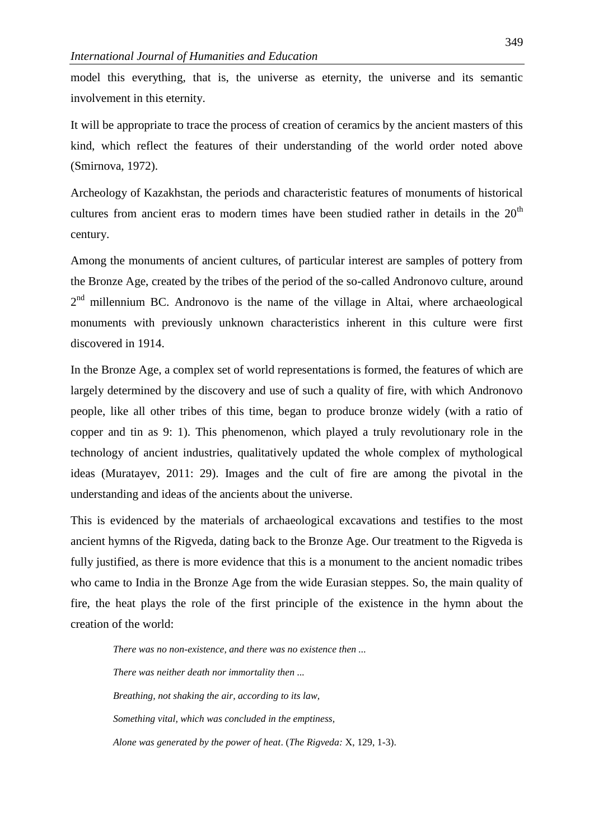model this everything, that is, the universe as eternity, the universe and its semantic involvement in this eternity.

It will be appropriate to trace the process of creation of ceramics by the ancient masters of this kind, which reflect the features of their understanding of the world order noted above (Smirnova, 1972).

Archeology of Kazakhstan, the periods and characteristic features of monuments of historical cultures from ancient eras to modern times have been studied rather in details in the  $20<sup>th</sup>$ century.

Among the monuments of ancient cultures, of particular interest are samples of pottery from the Bronze Age, created by the tribes of the period of the so-called Andronovo culture, around  $2<sup>nd</sup>$  millennium BC. Andronovo is the name of the village in Altai, where archaeological monuments with previously unknown characteristics inherent in this culture were first discovered in 1914.

In the Bronze Age, a complex set of world representations is formed, the features of which are largely determined by the discovery and use of such a quality of fire, with which Andronovo people, like all other tribes of this time, began to produce bronze widely (with a ratio of copper and tin as 9: 1). This phenomenon, which played a truly revolutionary role in the technology of ancient industries, qualitatively updated the whole complex of mythological ideas (Muratayev, 2011: 29). Images and the cult of fire are among the pivotal in the understanding and ideas of the ancients about the universe.

This is evidenced by the materials of archaeological excavations and testifies to the most ancient hymns of the Rigveda, dating back to the Bronze Age. Our treatment to the Rigveda is fully justified, as there is more evidence that this is a monument to the ancient nomadic tribes who came to India in the Bronze Age from the wide Eurasian steppes. So, the main quality of fire, the heat plays the role of the first principle of the existence in the hymn about the creation of the world:

*There was no non-existence, and there was no existence then ... There was neither death nor immortality then ... Breathing, not shaking the air, according to its law, Something vital, which was concluded in the emptiness, Alone was generated by the power of heat*. (*The Rigveda:* X, 129, 1-3).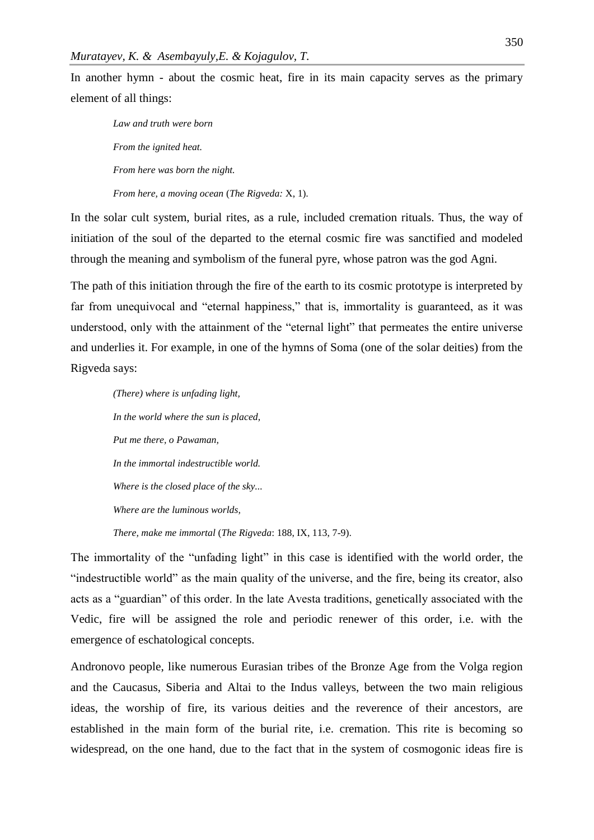In another hymn - about the cosmic heat, fire in its main capacity serves as the primary element of all things:

*Law and truth were born From the ignited heat. From here was born the night.*

*From here, a moving ocean* (*The Rigveda:* X, 1).

In the solar cult system, burial rites, as a rule, included cremation rituals. Thus, the way of initiation of the soul of the departed to the eternal cosmic fire was sanctified and modeled through the meaning and symbolism of the funeral pyre, whose patron was the god Agni.

The path of this initiation through the fire of the earth to its cosmic prototype is interpreted by far from unequivocal and "eternal happiness," that is, immortality is guaranteed, as it was understood, only with the attainment of the "eternal light" that permeates the entire universe and underlies it. For example, in one of the hymns of Soma (one of the solar deities) from the Rigveda says:

*(There) where is unfading light, In the world where the sun is placed, Put me there, o Pawaman, In the immortal indestructible world. Where is the closed place of the sky... Where are the luminous worlds, There, make me immortal* (*The Rigveda*: 188, IX, 113, 7-9).

The immortality of the "unfading light" in this case is identified with the world order, the "indestructible world" as the main quality of the universe, and the fire, being its creator, also acts as a "guardian" of this order. In the late Avesta traditions, genetically associated with the Vedic, fire will be assigned the role and periodic renewer of this order, i.e. with the emergence of eschatological concepts.

Andronovo people, like numerous Eurasian tribes of the Bronze Age from the Volga region and the Caucasus, Siberia and Altai to the Indus valleys, between the two main religious ideas, the worship of fire, its various deities and the reverence of their ancestors, are established in the main form of the burial rite, i.e. cremation. This rite is becoming so widespread, on the one hand, due to the fact that in the system of cosmogonic ideas fire is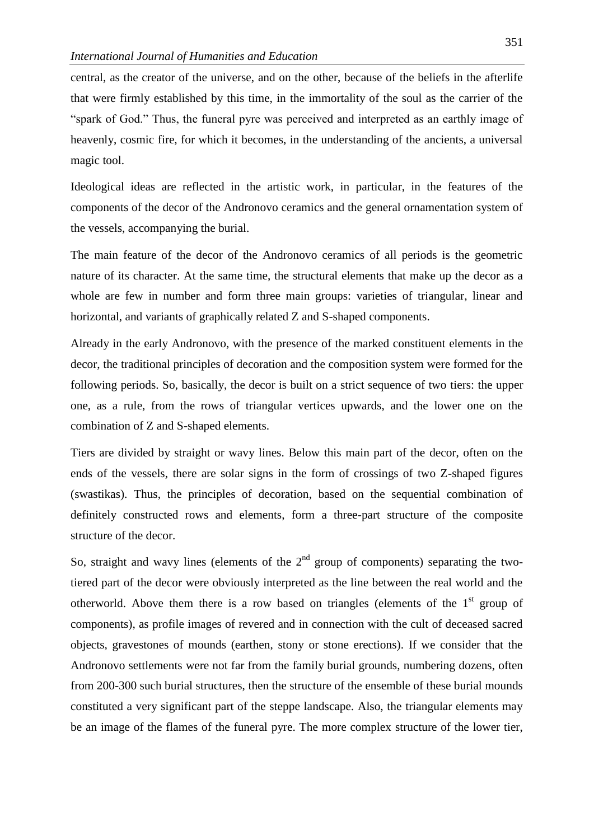central, as the creator of the universe, and on the other, because of the beliefs in the afterlife that were firmly established by this time, in the immortality of the soul as the carrier of the "spark of God." Thus, the funeral pyre was perceived and interpreted as an earthly image of heavenly, cosmic fire, for which it becomes, in the understanding of the ancients, a universal magic tool.

Ideological ideas are reflected in the artistic work, in particular, in the features of the components of the decor of the Andronovo ceramics and the general ornamentation system of the vessels, accompanying the burial.

The main feature of the decor of the Andronovo ceramics of all periods is the geometric nature of its character. At the same time, the structural elements that make up the decor as a whole are few in number and form three main groups: varieties of triangular, linear and horizontal, and variants of graphically related Z and S-shaped components.

Already in the early Andronovo, with the presence of the marked constituent elements in the decor, the traditional principles of decoration and the composition system were formed for the following periods. So, basically, the decor is built on a strict sequence of two tiers: the upper one, as a rule, from the rows of triangular vertices upwards, and the lower one on the combination of Z and S-shaped elements.

Tiers are divided by straight or wavy lines. Below this main part of the decor, often on the ends of the vessels, there are solar signs in the form of crossings of two Z-shaped figures (swastikas). Thus, the principles of decoration, based on the sequential combination of definitely constructed rows and elements, form a three-part structure of the composite structure of the decor.

So, straight and wavy lines (elements of the  $2<sup>nd</sup>$  group of components) separating the twotiered part of the decor were obviously interpreted as the line between the real world and the otherworld. Above them there is a row based on triangles (elements of the  $1<sup>st</sup>$  group of components), as profile images of revered and in connection with the cult of deceased sacred objects, gravestones of mounds (earthen, stony or stone erections). If we consider that the Andronovo settlements were not far from the family burial grounds, numbering dozens, often from 200-300 such burial structures, then the structure of the ensemble of these burial mounds constituted a very significant part of the steppe landscape. Also, the triangular elements may be an image of the flames of the funeral pyre. The more complex structure of the lower tier,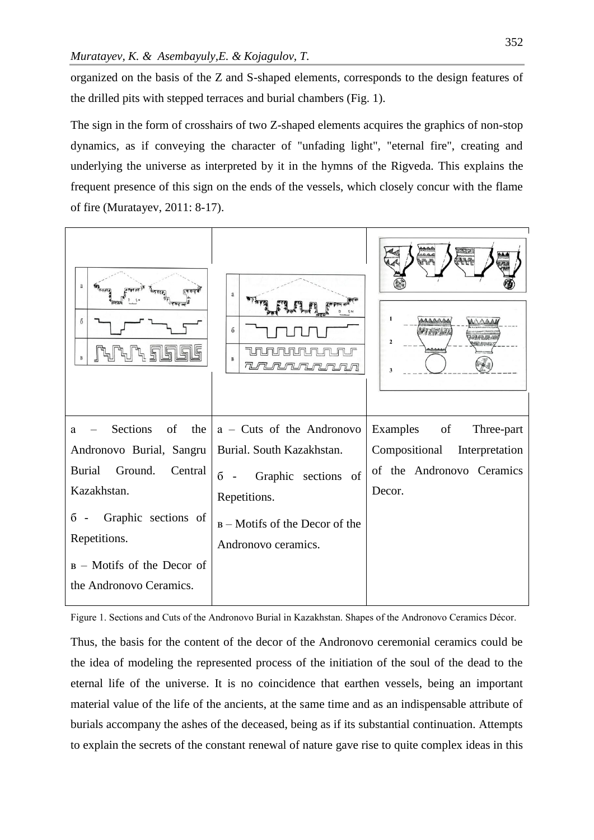organized on the basis of the Z and S-shaped elements, corresponds to the design features of the drilled pits with stepped terraces and burial chambers (Fig. 1).

The sign in the form of crosshairs of two Z-shaped elements acquires the graphics of non-stop dynamics, as if conveying the character of "unfading light", "eternal fire", creating and underlying the universe as interpreted by it in the hymns of the Rigveda. This explains the frequent presence of this sign on the ends of the vessels, which closely concur with the flame of fire (Muratayev, 2011: 8-17).

| a<br>$\overline{6}$<br>$\overline{B}$                                                                                                                                                                                              | a<br>$\overline{6}$<br>B<br><u>n munununun m</u>                                                                                                                               | <u>rurar</u><br>1<br>Field<br>$\overline{2}$<br>3                                                   |
|------------------------------------------------------------------------------------------------------------------------------------------------------------------------------------------------------------------------------------|--------------------------------------------------------------------------------------------------------------------------------------------------------------------------------|-----------------------------------------------------------------------------------------------------|
| Sections<br>of<br>the<br>a<br>Andronovo Burial, Sangru<br><b>Burial</b><br>Ground.<br>Central<br>Kazakhstan.<br>Graphic sections of<br>$\overline{6}$ -<br>Repetitions.<br>$B - Motifs$ of the Decor of<br>the Andronovo Ceramics. | $a$ – Cuts of the Andronovo<br>Burial. South Kazakhstan.<br>Graphic sections of<br>$\overline{6}$ -<br>Repetitions.<br>$B$ – Motifs of the Decor of the<br>Andronovo ceramics. | Examples of<br>Three-part<br>Compositional<br>Interpretation<br>of the Andronovo Ceramics<br>Decor. |

Figure 1. Sections and Cuts of the Andronovo Burial in Kazakhstan. Shapes of the Andronovo Ceramics Décor.

Thus, the basis for the content of the decor of the Andronovo ceremonial ceramics could be the idea of modeling the represented process of the initiation of the soul of the dead to the eternal life of the universe. It is no coincidence that earthen vessels, being an important material value of the life of the ancients, at the same time and as an indispensable attribute of burials accompany the ashes of the deceased, being as if its substantial continuation. Attempts to explain the secrets of the constant renewal of nature gave rise to quite complex ideas in this